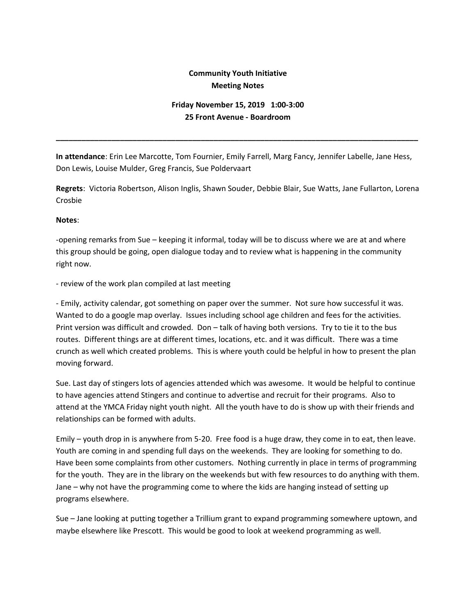## **Community Youth Initiative Meeting Notes**

## **Friday November 15, 2019 1:00-3:00 25 Front Avenue - Boardroom**

**\_\_\_\_\_\_\_\_\_\_\_\_\_\_\_\_\_\_\_\_\_\_\_\_\_\_\_\_\_\_\_\_\_\_\_\_\_\_\_\_\_\_\_\_\_\_\_\_\_\_\_\_\_\_\_\_\_\_\_\_\_\_\_\_\_\_\_\_\_\_\_\_\_\_\_\_\_\_\_\_\_\_\_\_\_**

**In attendance**: Erin Lee Marcotte, Tom Fournier, Emily Farrell, Marg Fancy, Jennifer Labelle, Jane Hess, Don Lewis, Louise Mulder, Greg Francis, Sue Poldervaart

**Regrets**: Victoria Robertson, Alison Inglis, Shawn Souder, Debbie Blair, Sue Watts, Jane Fullarton, Lorena Crosbie

## **Notes**:

-opening remarks from Sue – keeping it informal, today will be to discuss where we are at and where this group should be going, open dialogue today and to review what is happening in the community right now.

- review of the work plan compiled at last meeting

- Emily, activity calendar, got something on paper over the summer. Not sure how successful it was. Wanted to do a google map overlay. Issues including school age children and fees for the activities. Print version was difficult and crowded. Don – talk of having both versions. Try to tie it to the bus routes. Different things are at different times, locations, etc. and it was difficult. There was a time crunch as well which created problems. This is where youth could be helpful in how to present the plan moving forward.

Sue. Last day of stingers lots of agencies attended which was awesome. It would be helpful to continue to have agencies attend Stingers and continue to advertise and recruit for their programs. Also to attend at the YMCA Friday night youth night. All the youth have to do is show up with their friends and relationships can be formed with adults.

Emily – youth drop in is anywhere from 5-20. Free food is a huge draw, they come in to eat, then leave. Youth are coming in and spending full days on the weekends. They are looking for something to do. Have been some complaints from other customers. Nothing currently in place in terms of programming for the youth. They are in the library on the weekends but with few resources to do anything with them. Jane – why not have the programming come to where the kids are hanging instead of setting up programs elsewhere.

Sue – Jane looking at putting together a Trillium grant to expand programming somewhere uptown, and maybe elsewhere like Prescott. This would be good to look at weekend programming as well.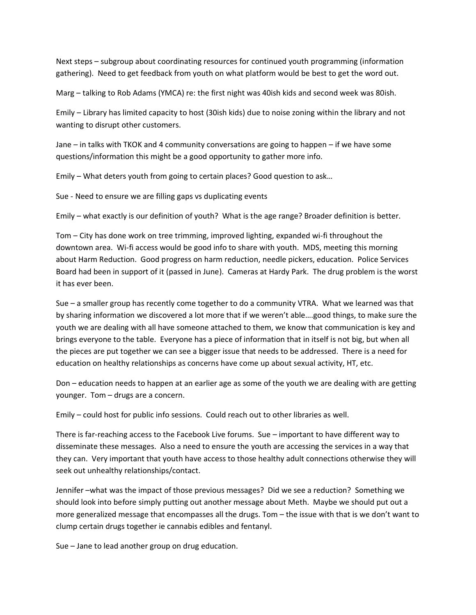Next steps – subgroup about coordinating resources for continued youth programming (information gathering). Need to get feedback from youth on what platform would be best to get the word out.

Marg – talking to Rob Adams (YMCA) re: the first night was 40ish kids and second week was 80ish.

Emily – Library has limited capacity to host (30ish kids) due to noise zoning within the library and not wanting to disrupt other customers.

Jane – in talks with TKOK and 4 community conversations are going to happen – if we have some questions/information this might be a good opportunity to gather more info.

Emily – What deters youth from going to certain places? Good question to ask…

Sue - Need to ensure we are filling gaps vs duplicating events

Emily – what exactly is our definition of youth? What is the age range? Broader definition is better.

Tom – City has done work on tree trimming, improved lighting, expanded wi-fi throughout the downtown area. Wi-fi access would be good info to share with youth. MDS, meeting this morning about Harm Reduction. Good progress on harm reduction, needle pickers, education. Police Services Board had been in support of it (passed in June). Cameras at Hardy Park. The drug problem is the worst it has ever been.

Sue – a smaller group has recently come together to do a community VTRA. What we learned was that by sharing information we discovered a lot more that if we weren't able….good things, to make sure the youth we are dealing with all have someone attached to them, we know that communication is key and brings everyone to the table. Everyone has a piece of information that in itself is not big, but when all the pieces are put together we can see a bigger issue that needs to be addressed. There is a need for education on healthy relationships as concerns have come up about sexual activity, HT, etc.

Don – education needs to happen at an earlier age as some of the youth we are dealing with are getting younger. Tom – drugs are a concern.

Emily – could host for public info sessions. Could reach out to other libraries as well.

There is far-reaching access to the Facebook Live forums. Sue – important to have different way to disseminate these messages. Also a need to ensure the youth are accessing the services in a way that they can. Very important that youth have access to those healthy adult connections otherwise they will seek out unhealthy relationships/contact.

Jennifer –what was the impact of those previous messages? Did we see a reduction? Something we should look into before simply putting out another message about Meth. Maybe we should put out a more generalized message that encompasses all the drugs. Tom – the issue with that is we don't want to clump certain drugs together ie cannabis edibles and fentanyl.

Sue – Jane to lead another group on drug education.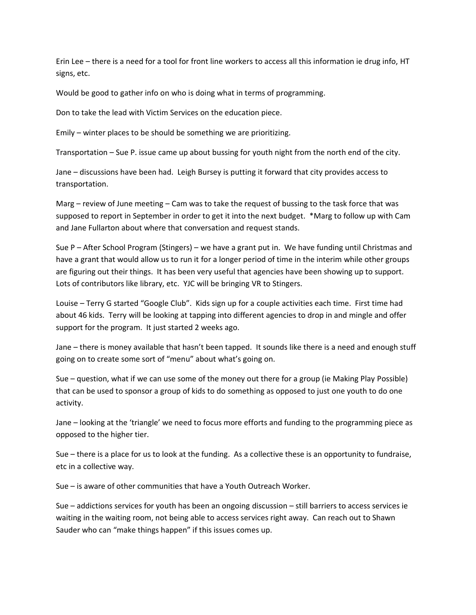Erin Lee – there is a need for a tool for front line workers to access all this information ie drug info, HT signs, etc.

Would be good to gather info on who is doing what in terms of programming.

Don to take the lead with Victim Services on the education piece.

Emily – winter places to be should be something we are prioritizing.

Transportation – Sue P. issue came up about bussing for youth night from the north end of the city.

Jane – discussions have been had. Leigh Bursey is putting it forward that city provides access to transportation.

Marg – review of June meeting – Cam was to take the request of bussing to the task force that was supposed to report in September in order to get it into the next budget. \*Marg to follow up with Cam and Jane Fullarton about where that conversation and request stands.

Sue P – After School Program (Stingers) – we have a grant put in. We have funding until Christmas and have a grant that would allow us to run it for a longer period of time in the interim while other groups are figuring out their things. It has been very useful that agencies have been showing up to support. Lots of contributors like library, etc. YJC will be bringing VR to Stingers.

Louise – Terry G started "Google Club". Kids sign up for a couple activities each time. First time had about 46 kids. Terry will be looking at tapping into different agencies to drop in and mingle and offer support for the program. It just started 2 weeks ago.

Jane – there is money available that hasn't been tapped. It sounds like there is a need and enough stuff going on to create some sort of "menu" about what's going on.

Sue – question, what if we can use some of the money out there for a group (ie Making Play Possible) that can be used to sponsor a group of kids to do something as opposed to just one youth to do one activity.

Jane – looking at the 'triangle' we need to focus more efforts and funding to the programming piece as opposed to the higher tier.

Sue – there is a place for us to look at the funding. As a collective these is an opportunity to fundraise, etc in a collective way.

Sue – is aware of other communities that have a Youth Outreach Worker.

Sue – addictions services for youth has been an ongoing discussion – still barriers to access services ie waiting in the waiting room, not being able to access services right away. Can reach out to Shawn Sauder who can "make things happen" if this issues comes up.